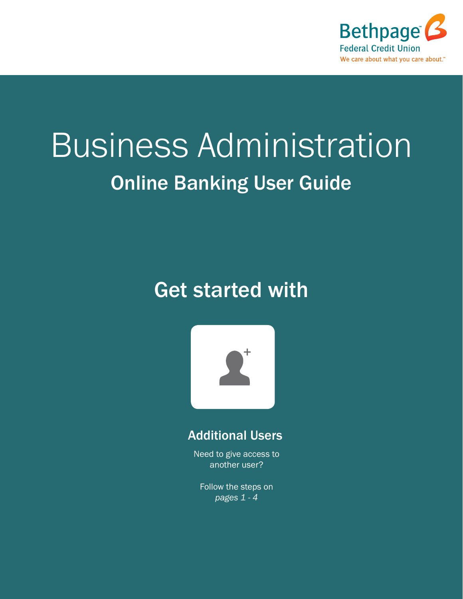

# Business Administration Online Banking User Guide

### Get started with



#### Additional Users

Need to give access to another user?

Follow the steps on *pages 1 - 4*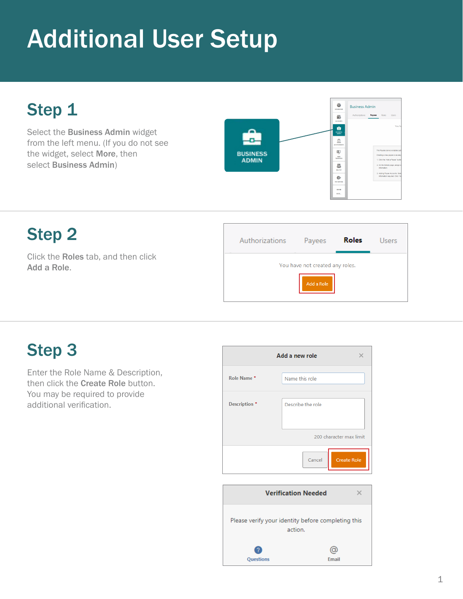#### Step 1

Select the Business Admin widget from the left menu. (If you do not see the widget, select More, then select Business Admin)



#### Step 2

Click the Roles tab, and then click Add a Role.



#### Step 3

Enter the Role Name & Description, then click the Create Role button. You may be required to provide additional verification.

|               | Add a new role          |
|---------------|-------------------------|
| Role Name*    | Name this role          |
| Description * | Describe the role       |
|               | 200 character max limit |
|               | Cancel<br>Create Role   |
|               |                         |

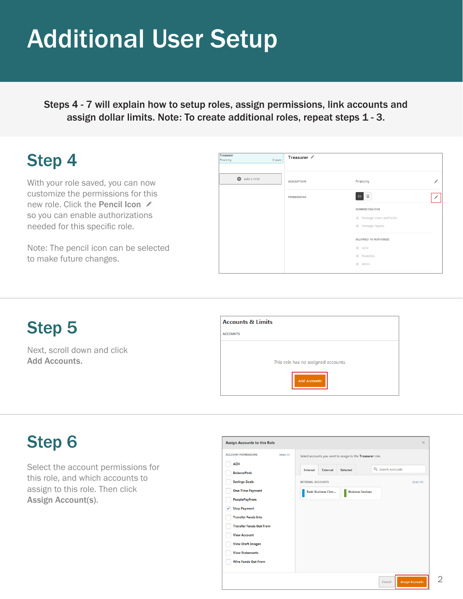Steps 4 - 7 will explain how to setup roles, assign permissions, link accounts and assign dollar limits. Note: To create additional roles, repeat steps 1 - 3.

#### Step 4

With your role saved, you can now customize the permissions for this new role. Click the Pencil Icon ∕ so you can enable authorizations needed for this specific role.

Note: The pencil icon can be selected to make future changes.

| <b>Treasurer</b><br>0 Users<br>Financing | Treasurer /        |                                 |
|------------------------------------------|--------------------|---------------------------------|
| Add a Role                               | <b>DESCRIPTION</b> | Financing                       |
|                                          | <b>PERMISSIONS</b> | 目目                              |
|                                          |                    | <b>ADMINISTRATION</b>           |
|                                          |                    | <b>X</b> Manage Users and Roles |
|                                          |                    | X Manage Payees                 |
|                                          |                    | <b>ALLOWED TO AUTHORIZE</b>     |
|                                          |                    | $X$ ACH                         |
|                                          |                    | X Transfers                     |
|                                          |                    | $\times$ Wires                  |
|                                          |                    |                                 |

#### Step 5

Next, scroll down and click Add Accounts.

| <b>Accounts &amp; Limits</b> |                                     |
|------------------------------|-------------------------------------|
| <b>ACCOUNTS</b>              |                                     |
|                              | This role has no assigned accounts. |
|                              | <b>Add Accounts</b>                 |

#### Step 6

Select the account permissions for this role, and which accounts to assign to this role. Then click Assign Account(s).

| <b>Assign Accounts to this Role</b>      |                                                                     | $\times$ |
|------------------------------------------|---------------------------------------------------------------------|----------|
| Select All<br><b>ACCOUNT PERMISSIONS</b> | Select accounts you want to assign to the Treasurer role.           |          |
| <b>ACH</b>                               |                                                                     |          |
| <b>BalancePeek</b>                       | Q Search Accounts<br>Selected<br><b>External</b><br><b>Internal</b> |          |
| <b>Savings Goals</b>                     | <b>INTERNAL ACCOUNTS</b><br>Select All                              |          |
| <b>One-Time Payment</b>                  | <b>Basic Business Chec</b><br><b>Business Savings</b>               |          |
| <b>PeoplePayFrom</b>                     |                                                                     |          |
| <b>Stop Payment</b><br>✓                 |                                                                     |          |
| <b>Transfer Funds Into</b>               |                                                                     |          |
| <b>Transfer Funds Out From</b>           |                                                                     |          |
| <b>View Account</b>                      |                                                                     |          |
| <b>View Draft Images</b>                 |                                                                     |          |
| <b>View Statements</b>                   |                                                                     |          |
| <b>Wire Funds Out From</b>               |                                                                     |          |
|                                          | <b>Assign Accounts</b><br>Cancel                                    |          |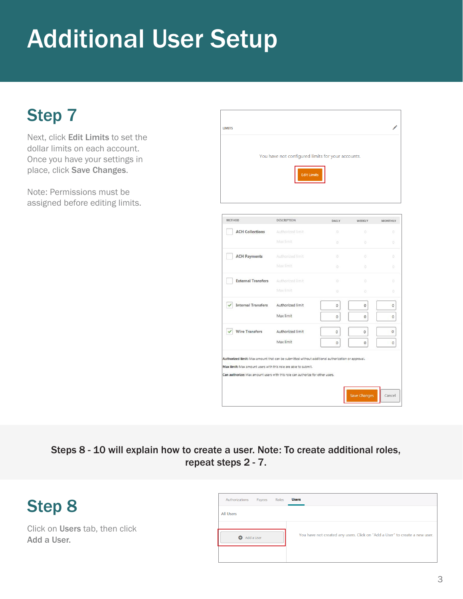#### Step 7

Next, click Edit Limits to set the dollar limits on each account. Once you have your settings in place, click Save Changes.

Note: Permissions must be assigned before editing limits.

| You have not configured limits for your accounts. |                                 |                                                |                            |
|---------------------------------------------------|---------------------------------|------------------------------------------------|----------------------------|
|                                                   |                                 |                                                |                            |
|                                                   |                                 |                                                |                            |
|                                                   |                                 |                                                | <b>MONTHLY</b><br>$\alpha$ |
| Max limit                                         | $0^{\circ}$                     | $\alpha$                                       | ö                          |
| Authorized limit                                  | O.                              | 0                                              | O.                         |
| Max limit                                         | $\circ$                         | $\circ$                                        | $\alpha$                   |
| Authorized limit                                  | $\circ$                         | $\circ$                                        | o                          |
| Max limit                                         | в.                              | O.                                             | o                          |
| Authorized limit                                  | $\circ$                         | $\circ$                                        | $\circ$                    |
| Max limit                                         | $\mathbf{0}$                    | 0                                              | $\mathbf{0}$               |
| Authorized limit                                  | 0                               | 0                                              | $\overline{0}$             |
|                                                   |                                 |                                                |                            |
|                                                   | DESCRIPTION<br>Authorized limit | <b>Edit Limits</b><br><b>DAILY</b><br>$\alpha$ | WEEKLY<br>$\mathbb{O}^+$   |

Steps 8 - 10 will explain how to create a user. Note: To create additional roles, repeat steps 2 - 7.